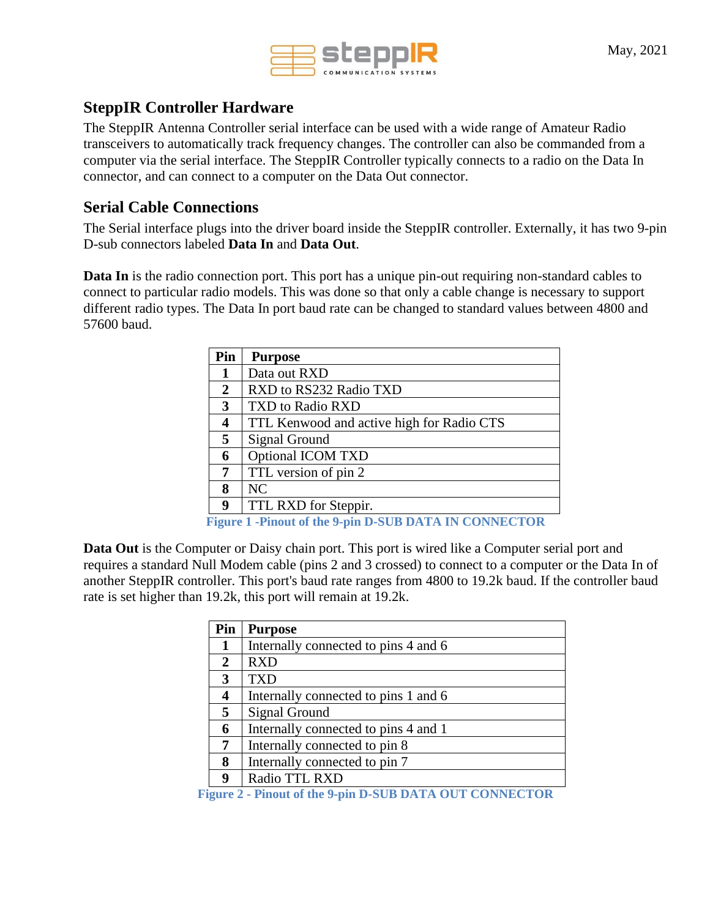

## **SteppIR Controller Hardware**

The SteppIR Antenna Controller serial interface can be used with a wide range of Amateur Radio transceivers to automatically track frequency changes. The controller can also be commanded from a computer via the serial interface. The SteppIR Controller typically connects to a radio on the Data In connector, and can connect to a computer on the Data Out connector.

### **Serial Cable Connections**

The Serial interface plugs into the driver board inside the SteppIR controller. Externally, it has two 9-pin D-sub connectors labeled **Data In** and **Data Out**.

**Data In** is the radio connection port. This port has a unique pin-out requiring non-standard cables to connect to particular radio models. This was done so that only a cable change is necessary to support different radio types. The Data In port baud rate can be changed to standard values between 4800 and 57600 baud.

| Pin | <b>Purpose</b>                                                        |
|-----|-----------------------------------------------------------------------|
| 1   | Data out RXD                                                          |
| 2   | RXD to RS232 Radio TXD                                                |
| 3   | TXD to Radio RXD                                                      |
| 4   | TTL Kenwood and active high for Radio CTS                             |
| 5   | Signal Ground                                                         |
| 6   | <b>Optional ICOM TXD</b>                                              |
| 7   | TTL version of pin 2                                                  |
| 8   | NC                                                                    |
| 9   | TTL RXD for Steppir.                                                  |
|     | $F_{m}$ $\sim$ 1 $F_{m}$ $\sim$ 4 $\sim$ 4 $\sim$ 0 $\sim$ $\sim$ $F$ |

**Figure 1 -Pinout of the 9-pin D-SUB DATA IN CONNECTOR**

**Data Out** is the Computer or Daisy chain port. This port is wired like a Computer serial port and requires a standard Null Modem cable (pins 2 and 3 crossed) to connect to a computer or the Data In of another SteppIR controller. This port's baud rate ranges from 4800 to 19.2k baud. If the controller baud rate is set higher than 19.2k, this port will remain at 19.2k.

| Pin | <b>Purpose</b>                       |
|-----|--------------------------------------|
| 1   | Internally connected to pins 4 and 6 |
| 2   | <b>RXD</b>                           |
| 3   | <b>TXD</b>                           |
| 4   | Internally connected to pins 1 and 6 |
| 5   | Signal Ground                        |
| 6   | Internally connected to pins 4 and 1 |
| 7   | Internally connected to pin 8        |
| 8   | Internally connected to pin 7        |
| 9   | Radio TTL RXD                        |

**Figure 2 - Pinout of the 9-pin D-SUB DATA OUT CONNECTOR**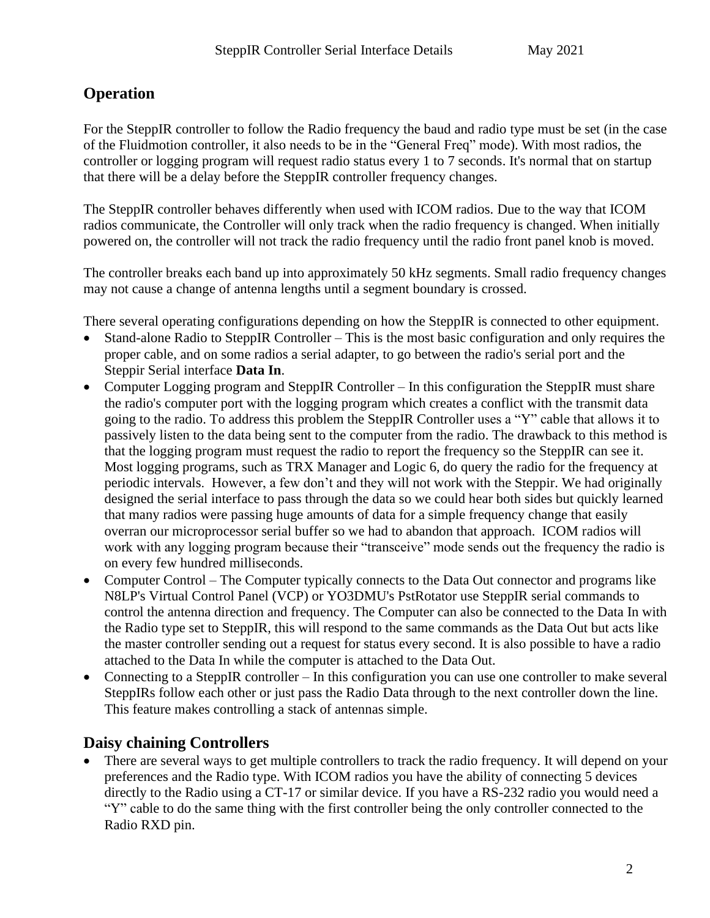## **Operation**

For the SteppIR controller to follow the Radio frequency the baud and radio type must be set (in the case of the Fluidmotion controller, it also needs to be in the "General Freq" mode). With most radios, the controller or logging program will request radio status every 1 to 7 seconds. It's normal that on startup that there will be a delay before the SteppIR controller frequency changes.

The SteppIR controller behaves differently when used with ICOM radios. Due to the way that ICOM radios communicate, the Controller will only track when the radio frequency is changed. When initially powered on, the controller will not track the radio frequency until the radio front panel knob is moved.

The controller breaks each band up into approximately 50 kHz segments. Small radio frequency changes may not cause a change of antenna lengths until a segment boundary is crossed.

There several operating configurations depending on how the SteppIR is connected to other equipment.

- Stand-alone Radio to SteppIR Controller This is the most basic configuration and only requires the proper cable, and on some radios a serial adapter, to go between the radio's serial port and the Steppir Serial interface **Data In**.
- Computer Logging program and SteppIR Controller In this configuration the SteppIR must share the radio's computer port with the logging program which creates a conflict with the transmit data going to the radio. To address this problem the SteppIR Controller uses a "Y" cable that allows it to passively listen to the data being sent to the computer from the radio. The drawback to this method is that the logging program must request the radio to report the frequency so the SteppIR can see it. Most logging programs, such as TRX Manager and Logic 6, do query the radio for the frequency at periodic intervals. However, a few don't and they will not work with the Steppir. We had originally designed the serial interface to pass through the data so we could hear both sides but quickly learned that many radios were passing huge amounts of data for a simple frequency change that easily overran our microprocessor serial buffer so we had to abandon that approach. ICOM radios will work with any logging program because their "transceive" mode sends out the frequency the radio is on every few hundred milliseconds.
- Computer Control The Computer typically connects to the Data Out connector and programs like N8LP's Virtual Control Panel (VCP) or YO3DMU's PstRotator use SteppIR serial commands to control the antenna direction and frequency. The Computer can also be connected to the Data In with the Radio type set to SteppIR, this will respond to the same commands as the Data Out but acts like the master controller sending out a request for status every second. It is also possible to have a radio attached to the Data In while the computer is attached to the Data Out.
- Connecting to a SteppIR controller In this configuration you can use one controller to make several SteppIRs follow each other or just pass the Radio Data through to the next controller down the line. This feature makes controlling a stack of antennas simple.

# **Daisy chaining Controllers**

• There are several ways to get multiple controllers to track the radio frequency. It will depend on your preferences and the Radio type. With ICOM radios you have the ability of connecting 5 devices directly to the Radio using a CT-17 or similar device. If you have a RS-232 radio you would need a "Y" cable to do the same thing with the first controller being the only controller connected to the Radio RXD pin.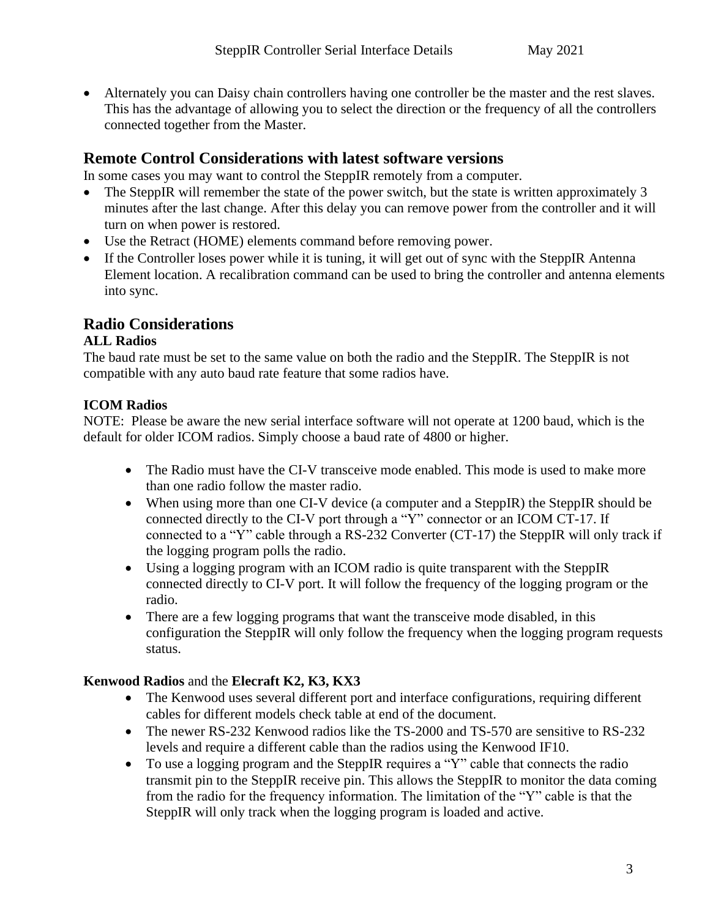• Alternately you can Daisy chain controllers having one controller be the master and the rest slaves. This has the advantage of allowing you to select the direction or the frequency of all the controllers connected together from the Master.

## **Remote Control Considerations with latest software versions**

In some cases you may want to control the SteppIR remotely from a computer.

- The SteppIR will remember the state of the power switch, but the state is written approximately 3 minutes after the last change. After this delay you can remove power from the controller and it will turn on when power is restored.
- Use the Retract (HOME) elements command before removing power.
- If the Controller loses power while it is tuning, it will get out of sync with the SteppIR Antenna Element location. A recalibration command can be used to bring the controller and antenna elements into sync.

### **Radio Considerations**

#### **ALL Radios**

The baud rate must be set to the same value on both the radio and the SteppIR. The SteppIR is not compatible with any auto baud rate feature that some radios have.

#### **ICOM Radios**

NOTE: Please be aware the new serial interface software will not operate at 1200 baud, which is the default for older ICOM radios. Simply choose a baud rate of 4800 or higher.

- The Radio must have the CI-V transceive mode enabled. This mode is used to make more than one radio follow the master radio.
- When using more than one CI-V device (a computer and a SteppIR) the SteppIR should be connected directly to the CI-V port through a "Y" connector or an ICOM CT-17. If connected to a "Y" cable through a RS-232 Converter (CT-17) the SteppIR will only track if the logging program polls the radio.
- Using a logging program with an ICOM radio is quite transparent with the SteppIR connected directly to CI-V port. It will follow the frequency of the logging program or the radio.
- There are a few logging programs that want the transceive mode disabled, in this configuration the SteppIR will only follow the frequency when the logging program requests status.

#### **Kenwood Radios** and the **Elecraft K2, K3, KX3**

- The Kenwood uses several different port and interface configurations, requiring different cables for different models check table at end of the document.
- The newer RS-232 Kenwood radios like the TS-2000 and TS-570 are sensitive to RS-232 levels and require a different cable than the radios using the Kenwood IF10.
- To use a logging program and the SteppIR requires a "Y" cable that connects the radio transmit pin to the SteppIR receive pin. This allows the SteppIR to monitor the data coming from the radio for the frequency information. The limitation of the "Y" cable is that the SteppIR will only track when the logging program is loaded and active.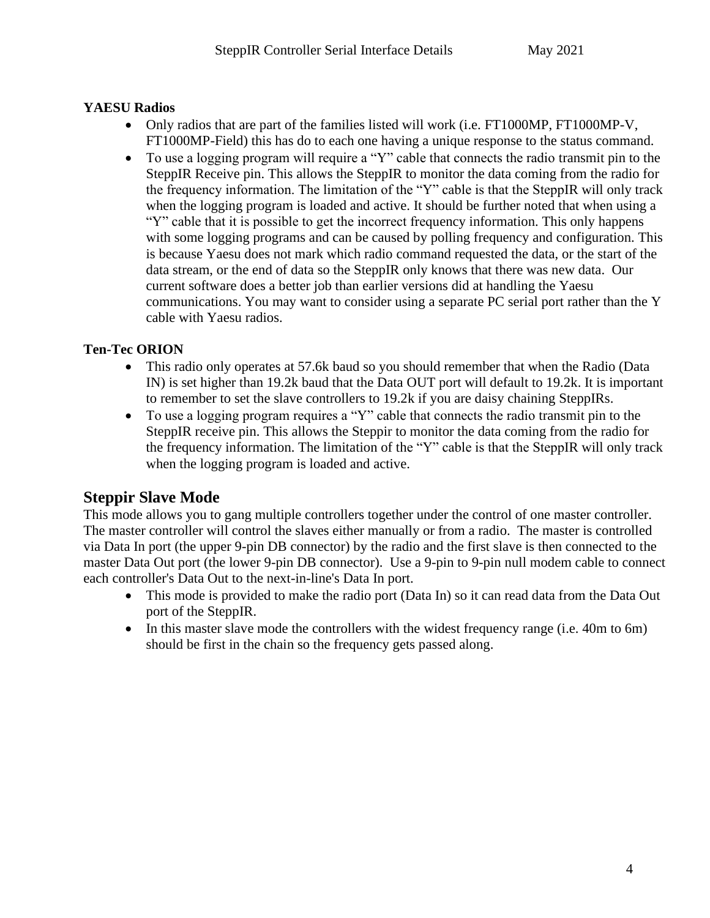#### **YAESU Radios**

- Only radios that are part of the families listed will work (i.e. FT1000MP, FT1000MP-V, FT1000MP-Field) this has do to each one having a unique response to the status command.
- To use a logging program will require a "Y" cable that connects the radio transmit pin to the SteppIR Receive pin. This allows the SteppIR to monitor the data coming from the radio for the frequency information. The limitation of the "Y" cable is that the SteppIR will only track when the logging program is loaded and active. It should be further noted that when using a "Y" cable that it is possible to get the incorrect frequency information. This only happens with some logging programs and can be caused by polling frequency and configuration. This is because Yaesu does not mark which radio command requested the data, or the start of the data stream, or the end of data so the SteppIR only knows that there was new data. Our current software does a better job than earlier versions did at handling the Yaesu communications. You may want to consider using a separate PC serial port rather than the Y cable with Yaesu radios.

#### **Ten-Tec ORION**

- This radio only operates at 57.6k baud so you should remember that when the Radio (Data IN) is set higher than 19.2k baud that the Data OUT port will default to 19.2k. It is important to remember to set the slave controllers to 19.2k if you are daisy chaining SteppIRs.
- To use a logging program requires a "Y" cable that connects the radio transmit pin to the SteppIR receive pin. This allows the Steppir to monitor the data coming from the radio for the frequency information. The limitation of the "Y" cable is that the SteppIR will only track when the logging program is loaded and active.

## **Steppir Slave Mode**

This mode allows you to gang multiple controllers together under the control of one master controller. The master controller will control the slaves either manually or from a radio. The master is controlled via Data In port (the upper 9-pin DB connector) by the radio and the first slave is then connected to the master Data Out port (the lower 9-pin DB connector). Use a 9-pin to 9-pin null modem cable to connect each controller's Data Out to the next-in-line's Data In port.

- This mode is provided to make the radio port (Data In) so it can read data from the Data Out port of the SteppIR.
- In this master slave mode the controllers with the widest frequency range (i.e. 40m to 6m) should be first in the chain so the frequency gets passed along.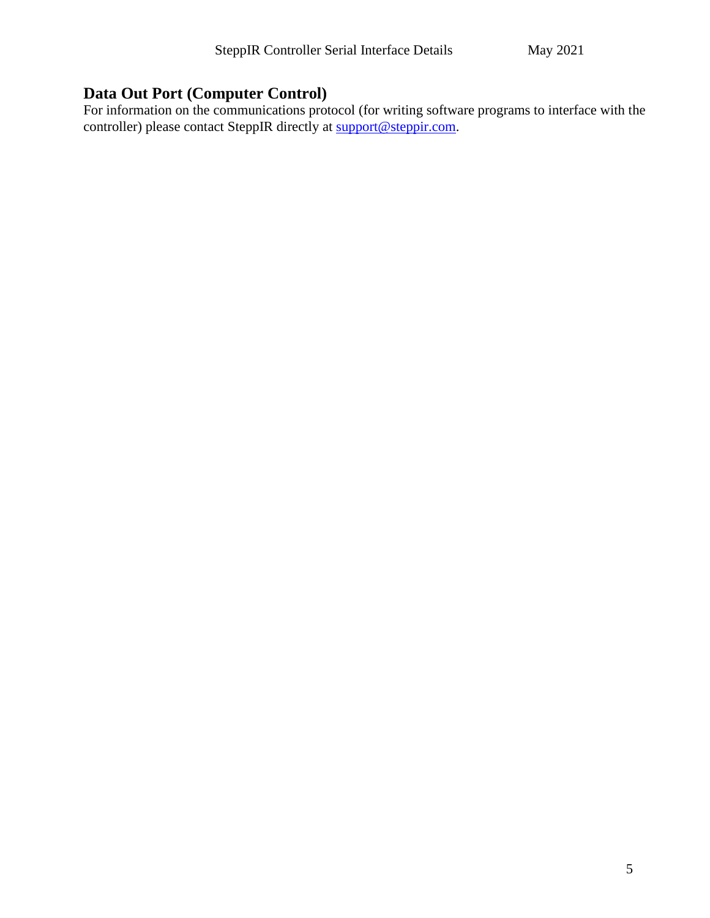# **Data Out Port (Computer Control)**

For information on the communications protocol (for writing software programs to interface with the controller) please contact SteppIR directly at [support@steppir.com.](mailto:support@steppir.com)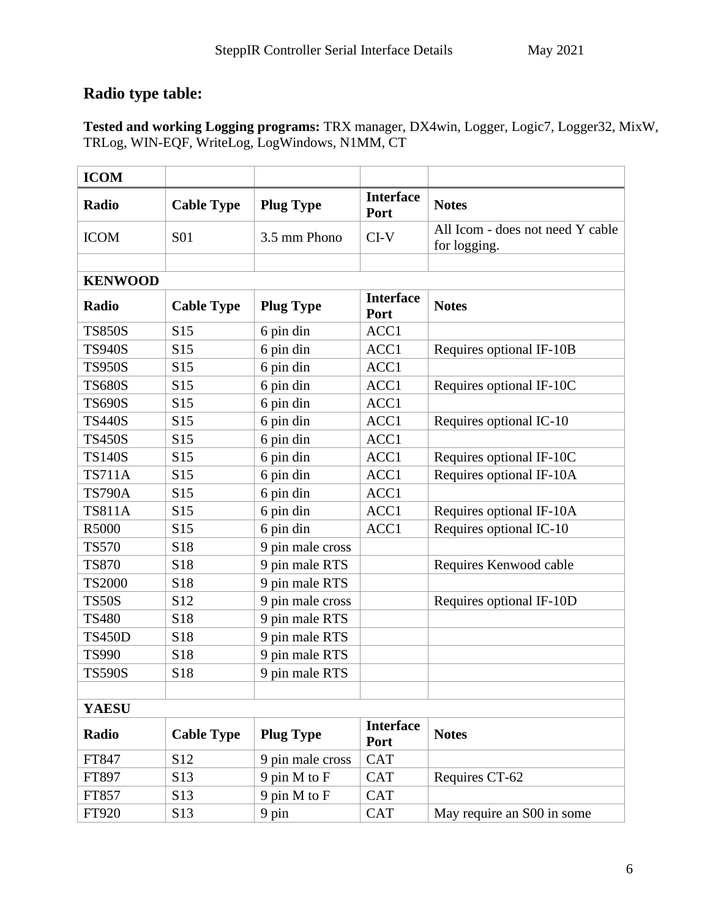# **Radio type table:**

**Tested and working Logging programs:** TRX manager, DX4win, Logger, Logic7, Logger32, MixW, TRLog, WIN-EQF, WriteLog, LogWindows, N1MM, CT

| <b>ICOM</b>    |                   |                  |                          |                                                  |
|----------------|-------------------|------------------|--------------------------|--------------------------------------------------|
| Radio          | <b>Cable Type</b> | <b>Plug Type</b> | <b>Interface</b><br>Port | <b>Notes</b>                                     |
| <b>ICOM</b>    | <b>S01</b>        | 3.5 mm Phono     | $CI-V$                   | All Icom - does not need Y cable<br>for logging. |
|                |                   |                  |                          |                                                  |
| <b>KENWOOD</b> |                   |                  |                          |                                                  |
| Radio          | <b>Cable Type</b> | <b>Plug Type</b> | <b>Interface</b><br>Port | <b>Notes</b>                                     |
| <b>TS850S</b>  | S <sub>15</sub>   | 6 pin din        | ACC1                     |                                                  |
| <b>TS940S</b>  | S15               | 6 pin din        | ACC1                     | Requires optional IF-10B                         |
| <b>TS950S</b>  | S <sub>15</sub>   | 6 pin din        | ACC1                     |                                                  |
| <b>TS680S</b>  | S15               | 6 pin din        | ACC1                     | Requires optional IF-10C                         |
| <b>TS690S</b>  | S15               | 6 pin din        | ACC1                     |                                                  |
| <b>TS440S</b>  | S15               | 6 pin din        | ACC1                     | Requires optional IC-10                          |
| <b>TS450S</b>  | S <sub>15</sub>   | 6 pin din        | ACC1                     |                                                  |
| <b>TS140S</b>  | S <sub>15</sub>   | 6 pin din        | ACC1                     | Requires optional IF-10C                         |
| <b>TS711A</b>  | S15               | 6 pin din        | ACC1                     | Requires optional IF-10A                         |
| <b>TS790A</b>  | S <sub>15</sub>   | 6 pin din        | ACC1                     |                                                  |
| <b>TS811A</b>  | S15               | 6 pin din        | ACC1                     | Requires optional IF-10A                         |
| R5000          | S15               | 6 pin din        | ACC1                     | Requires optional IC-10                          |
| <b>TS570</b>   | S18               | 9 pin male cross |                          |                                                  |
| <b>TS870</b>   | S18               | 9 pin male RTS   |                          | Requires Kenwood cable                           |
| <b>TS2000</b>  | S18               | 9 pin male RTS   |                          |                                                  |
| <b>TS50S</b>   | S <sub>12</sub>   | 9 pin male cross |                          | Requires optional IF-10D                         |
| <b>TS480</b>   | S18               | 9 pin male RTS   |                          |                                                  |
| <b>TS450D</b>  | S18               | 9 pin male RTS   |                          |                                                  |
| <b>TS990</b>   | S18               | 9 pin male RTS   |                          |                                                  |
| <b>TS590S</b>  | S18               | 9 pin male RTS   |                          |                                                  |
| <b>YAESU</b>   |                   |                  |                          |                                                  |
|                |                   |                  | <b>Interface</b>         |                                                  |
| <b>Radio</b>   | <b>Cable Type</b> | <b>Plug Type</b> | Port                     | <b>Notes</b>                                     |
| FT847          | S <sub>12</sub>   | 9 pin male cross | <b>CAT</b>               |                                                  |
| FT897          | S13               | 9 pin M to F     | <b>CAT</b>               | Requires CT-62                                   |
| FT857          | S <sub>13</sub>   | 9 pin M to F     | <b>CAT</b>               |                                                  |
| FT920          | S13               | 9 pin            | <b>CAT</b>               | May require an S00 in some                       |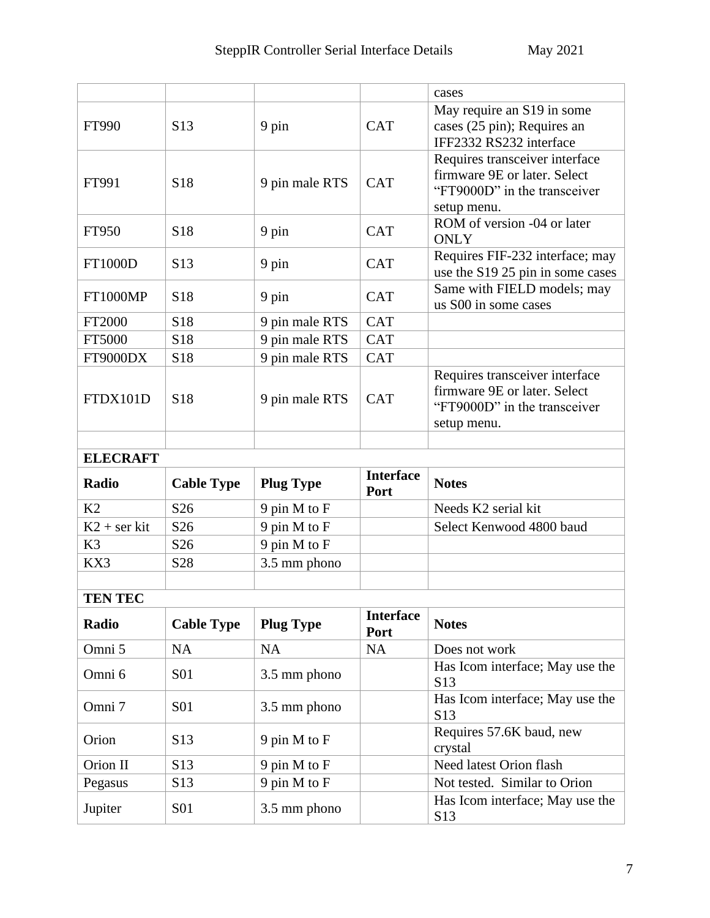|                 |                   |                              |                          | cases                                                                                                         |  |  |  |
|-----------------|-------------------|------------------------------|--------------------------|---------------------------------------------------------------------------------------------------------------|--|--|--|
| FT990           | S <sub>13</sub>   | 9 pin                        | <b>CAT</b>               | May require an S19 in some<br>cases (25 pin); Requires an<br>IFF2332 RS232 interface                          |  |  |  |
| FT991           | S <sub>18</sub>   | 9 pin male RTS               | <b>CAT</b>               | Requires transceiver interface<br>firmware 9E or later. Select<br>"FT9000D" in the transceiver<br>setup menu. |  |  |  |
| FT950           | S18               | 9 pin                        | <b>CAT</b>               | ROM of version -04 or later<br><b>ONLY</b>                                                                    |  |  |  |
| FT1000D         | S <sub>13</sub>   | 9 pin                        | <b>CAT</b>               | Requires FIF-232 interface; may<br>use the S19 25 pin in some cases                                           |  |  |  |
| <b>FT1000MP</b> | S <sub>18</sub>   | 9 pin                        | <b>CAT</b>               | Same with FIELD models; may<br>us S00 in some cases                                                           |  |  |  |
| FT2000          | S18               | 9 pin male RTS               | <b>CAT</b>               |                                                                                                               |  |  |  |
| FT5000          | S18               | 9 pin male RTS               | <b>CAT</b>               |                                                                                                               |  |  |  |
| FT9000DX        | S18               | 9 pin male RTS               | <b>CAT</b>               |                                                                                                               |  |  |  |
| FTDX101D        | S <sub>18</sub>   | 9 pin male RTS               | <b>CAT</b>               | Requires transceiver interface<br>firmware 9E or later. Select<br>"FT9000D" in the transceiver<br>setup menu. |  |  |  |
|                 |                   |                              |                          |                                                                                                               |  |  |  |
| <b>ELECRAFT</b> |                   |                              |                          |                                                                                                               |  |  |  |
|                 |                   |                              |                          |                                                                                                               |  |  |  |
| Radio           | <b>Cable Type</b> | <b>Plug Type</b>             | <b>Interface</b><br>Port | <b>Notes</b>                                                                                                  |  |  |  |
| K2              | S <sub>26</sub>   | 9 pin M to F                 |                          | Needs K2 serial kit                                                                                           |  |  |  |
| $K2$ + ser kit  | S <sub>26</sub>   | 9 pin M to F                 |                          | Select Kenwood 4800 baud                                                                                      |  |  |  |
| K <sub>3</sub>  | S <sub>26</sub>   |                              |                          |                                                                                                               |  |  |  |
| KX3             | S28               | 9 pin M to F<br>3.5 mm phono |                          |                                                                                                               |  |  |  |
|                 |                   |                              |                          |                                                                                                               |  |  |  |
| <b>TEN TEC</b>  |                   |                              |                          |                                                                                                               |  |  |  |
| Radio           | <b>Cable Type</b> | <b>Plug Type</b>             | <b>Interface</b><br>Port | <b>Notes</b>                                                                                                  |  |  |  |
| Omni 5          | <b>NA</b>         | NA                           | <b>NA</b>                | Does not work                                                                                                 |  |  |  |
| Omni 6          | <b>S01</b>        | 3.5 mm phono                 |                          | Has Icom interface; May use the<br>S <sub>13</sub>                                                            |  |  |  |
| Omni 7          | <b>S01</b>        | 3.5 mm phono                 |                          | Has Icom interface; May use the<br>S <sub>13</sub>                                                            |  |  |  |
| Orion           | S <sub>13</sub>   | 9 pin M to F                 |                          | Requires 57.6K baud, new<br>crystal                                                                           |  |  |  |
| Orion II        | S <sub>13</sub>   | 9 pin M to F                 |                          | Need latest Orion flash                                                                                       |  |  |  |
| Pegasus         | S13               | 9 pin M to F                 |                          | Not tested. Similar to Orion                                                                                  |  |  |  |